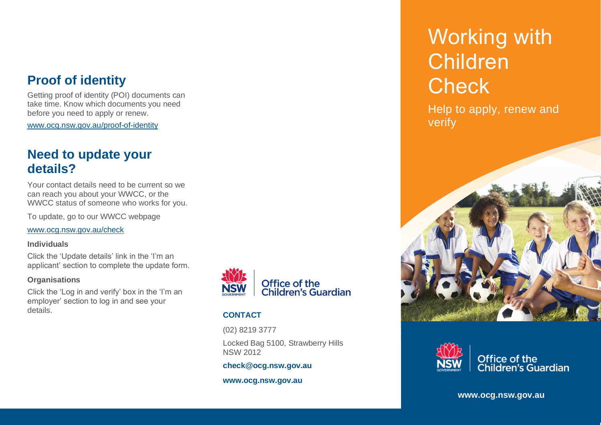## **Proof of identity**

Getting proof of identity (POI) documents can take time. Know which documents you need before you need to apply or renew.

[www.ocg.nsw.gov.au/proof-of-identity](http://www.ocg.nsw.gov.au/proof-of-identity)

## **Need to update your details?**

Your contact details need to be current so we can reach you about your WWCC, or the WWCC status of someone who works for you.

To update, go to our WWCC webpage

[www.ocg.nsw.gov.au/check](https://www.ocg.nsw.gov.au/check)

#### **Individuals**

Click the 'Update details' link in the 'I'm an applicant' section to complete the update form.

#### **Organisations**

Click the 'Log in and verify' box in the 'I'm an employer' section to log in and see your details. **CONTACT**



(02) 8219 3777

Locked Bag 5100, Strawberry Hills NSW 2012

**check@ocg.nsw.gov.au**

**www.ocg.nsw.gov.au**

# Working with Children **Check**

Help to apply, renew and verify





Office of the<br>Children's Guardian

**www.ocg.nsw.gov.au**